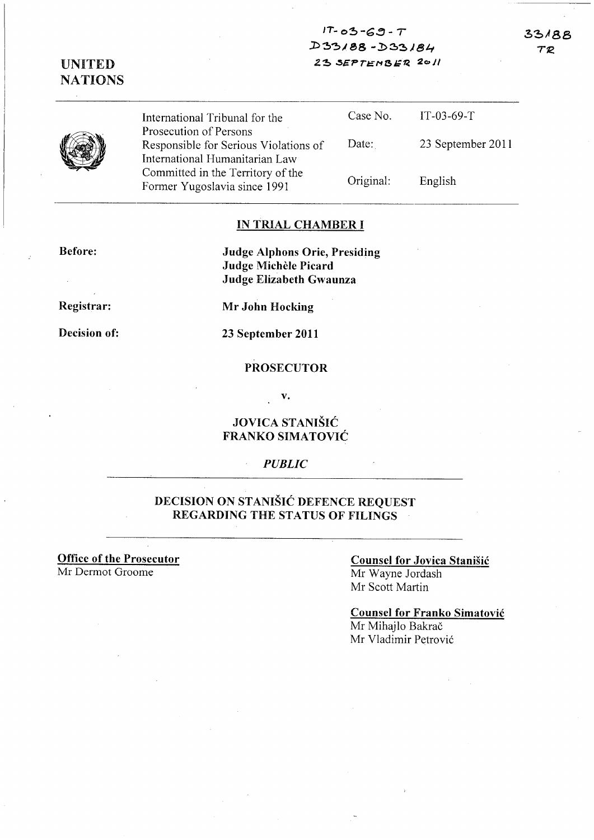$17 - 03 - 69 - T$  $D 33/88 - D 33/84$ 23 SEPTEMBER 2011

33188 TR

|  | International Tribunal for the<br>Prosecution of Persons                | Case No.  | $IT-03-69-T$      |
|--|-------------------------------------------------------------------------|-----------|-------------------|
|  | Responsible for Serious Violations of<br>International Humanitarian Law | Date:     | 23 September 2011 |
|  | Committed in the Territory of the<br>Former Yugoslavia since 1991       | Original: | English           |

#### IN TRIAL CHAMBER I

Before:

UNITED NATIONS

> Judge Alphons Orie, Presiding Judge Michele Picard Judge Elizabeth Gwaunza

Registrar:

Decision of:

Mr John Hocking

23 September 2011

#### PROSECUTOR

v.

### JOVICA STANISIC FRANKO SIMATOVIC

### *PUBLIC*

 $\bar{z}$ 

### DECISION ON STANIŠIĆ DEFENCE REQUEST REGARDING THE STATUS OF FILINGS

Office of the Prosecutor Mr Dermot Groome

### Counsel for Jovica Stanisic Mr Wayne Jordash Mr Scott Martin

Counsel for Franko Simatovic Mr Mihajlo Bakrač Mr Vladimir Petrovic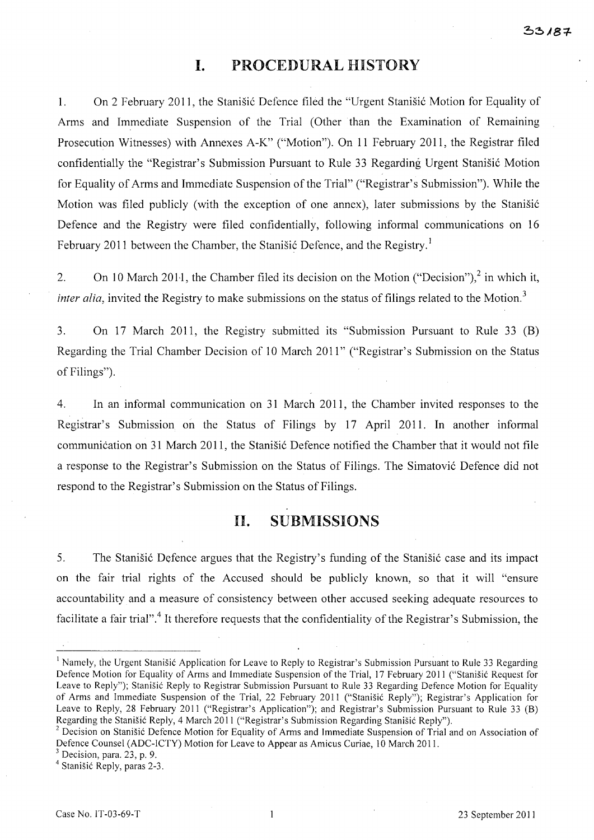## **I.** PROCEDURAL HISTORY

1. On 2 February 2011, the Stanisić Defence filed the "Urgent Stanisić Motion for Equality of Arms and Immediate Suspension of the Trial (Other than the Examination of Remaining Prosecution Witnesses) with Annexes A-K" ("Motion"). On 11 February 2011, the Registrar filed confidentially the "Registrar's Submission Pursuant to Rule 33 Regarding Urgent Stanišić Motion for Equality of Arms and Immediate Suspension of the Trial" ("Registrar's Submission"). While the Motion was filed publicly (with the exception of one annex), later submissions by the Stanisi6 Defence and the Registry were filed confidentially, following informal communications on 16 February 2011 between the Chamber, the Stanisic Defence, and the Registry.<sup>1</sup>

2. On 10 March 2011, the Chamber filed its decision on the Motion ("Decision"),  $2 \text{ in which it,}$ *inter alia*, invited the Registry to make submissions on the status of filings related to the Motion.<sup>3</sup>

3. On 17 March 2011, the Registry submitted its "Submission Pursuant to Rule 33 (B) Regarding the Trial Chamber Decision of 10 March 2011" ("Registrar's Submission on the Status of Filings").

4. In an informal communication on 31 March 2011, the Chamber invited responses to the Registrar's Submission on the Status of Filings by 17 April 2011. In another informal communication on 31 March 2011, the Stanisic Defence notified the Chamber that it would not file a response to the Registrar's Submission on the Status of Filings. The Simatović Defence did not respond to the Registrar's Submission on the Status of Filings.

# 11. SUBMISSIONS

5. The Stanisic Defence argues that the Registry's funding of the Stanisic case and its impact on the fair trial rights of the Accused should be publicly known, so that it will "ensure accountability and a measure of consistency between other accused seeking adequate resources to facilitate a fair trial".<sup>4</sup> It therefore requests that the confidentiality of the Registrar's Submission, the

 $3$  Decision, para. 23, p. 9.

4 Stanisic Reply, paras 2-3.

<sup>&</sup>lt;sup>1</sup> Namely, the Urgent Stanišić Application for Leave to Reply to Registrar's Submission Pursuant to Rule 33 Regarding Defence Motion for Equality of Arms and Immediate Suspension of the Trial, 17 February 2011 ("Stanisic Request for Leave to Reply"); Stanisic Reply to Registrar Submission Pursuant to Rule 33 Regarding Defence Motion for Equality of Arms and Immediate Suspension of the Trial, 22 February 2011 ("Stanisic Reply"); Registrar's Application for Leave to Reply, 28 February 2011 ("Registrar's Application"); and Registrar's Submission Pursuant to Rule 33 (B) Regarding the Stanisic Reply, 4 March 2011 ("Registrar's Submission Regarding Stanisic Reply").

<sup>&</sup>lt;sup>2</sup> Decision on Stanišić Defence Motion for Equality of Arms and Immediate Suspension of Trial and on Association of Defence Counsel (ADC-ICTY) Motion for Leave to Appear as Amicus Curiae, 10 March 2011.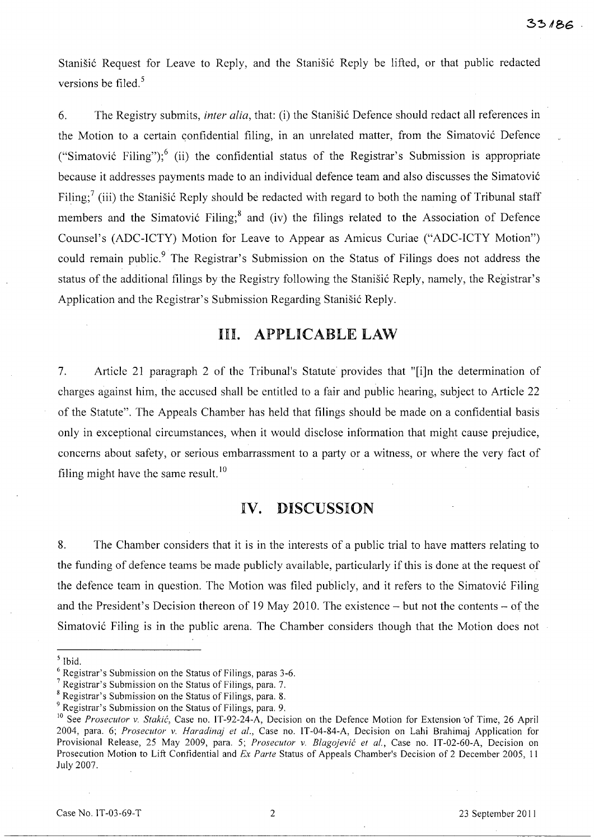Stanišić Request for Leave to Reply, and the Stanišić Reply be lifted, or that public redacted versions be filed.<sup>5</sup>

6. The Registry submits, *inter alia,* that: (i) the Stanisi6 Defence should redact all references in the Motion to a certain confidential filing, in an unrelated matter, from the Simatović Defence ("Simatović Filing");<sup>6</sup> (ii) the confidential status of the Registrar's Submission is appropriate because it addresses payments made to an individual defence team and also discusses the Simatovi6 Filing;<sup>7</sup> (iii) the Stanišić Reply should be redacted with regard to both the naming of Tribunal staff members and the Simatović Filing;<sup>8</sup> and (iv) the filings related to the Association of Defence Counsel's (ADC-ICTY) Motion for Leave to Appear as Amicus Curiae ("ADC-ICTY Motion") could remain public.<sup>9</sup> The Registrar's Submission on the Status of Filings does not address the status of the additional filings by the Registry following the Stanišić Reply, namely, the Registrar's Application and the Registrar's Submission Regarding Stanisić Reply.

## **Ill. APPLICABLE LAW**

7. Article 21 paragraph 2 of the Tribunal's Statute provides that "[i]n the determination of charges against him, the accused shall be entitled to a fair and public hearing, subject to Article 22 of the Statute". The Appeals Chamber has held that filings should be made on a confidential basis only in exceptional circumstances, when it would disclose information that might cause prejudice, concerns about safety, or serious embarrassment to a party or a witness, or where the very fact of filing might have the same result.<sup>10</sup>

## **IV. DISCUSSION**

8. The Chamber considers that it is in the interests of a public trial to have matters relating to the funding of defence teams be made publicly available, particularly if this is done at the request of the defence team in question. The Motion was filed publicly, and it refers to the Simatovi6 Filing and the President's Decision thereon of 19 May 2010. The existence - but not the contents - of the Simatović Filing is in the public arena. The Chamber considers though that the Motion does not

<sup>5</sup> Ibid.

<sup>6</sup> Registrar's Submission on the Status of Filings, paras 3-6.

<sup>7</sup> Registrar's Submission on the Status of Filings, para. 7.

<sup>8</sup> Registrar's Submission on the Status of Filings, para. 8.

<sup>9</sup> Registrar's Submission on the Status of Filings, para. 9.

<sup>&</sup>lt;sup>10</sup> See *Prosecutor v. Stakić*, Case no. IT-92-24-A, Decision on the Defence Motion for Extension of Time, 26 April 2004, para. 6; *Prosecutor* v. *Haradinaj et al.,* Case no. IT-04-84-A, Decision on Lahi Brahimaj Application for Provisional Release, 25 May 2009, para. 5; *Prosecutor* v. *Blagojevic et al.,* Case no. IT-02-60-A, Decision on Prosecution Motion to Lift Confidential and *Ex Parte* Status of Appeals Chamber's Decision of 2 December 2005, 11 July 2007.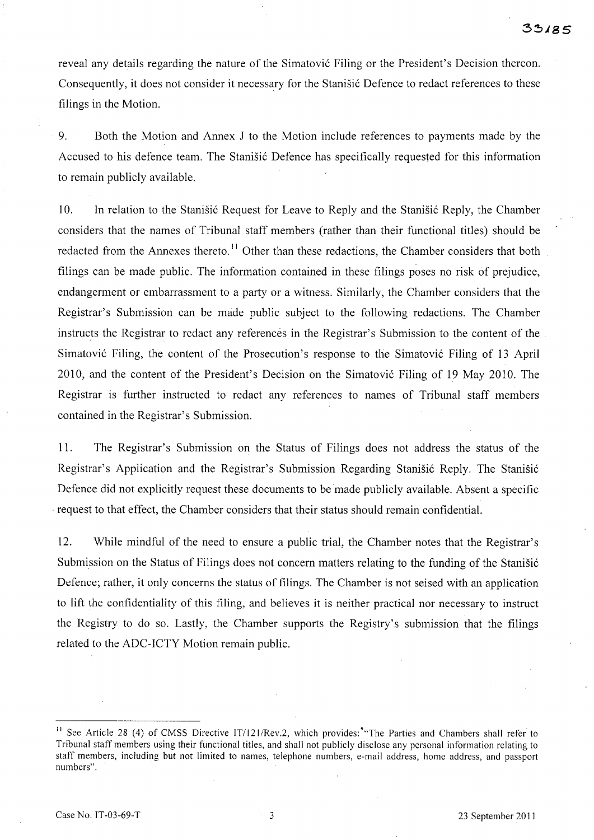reveal any details regarding the nature of the Simatović Filing or the President's Decision thereon. Consequently, it does not consider it necessary for the Stanistic Defence to redact references to these filings in the Motion.

9. Both the Motion and Annex J to the Motion include references to payments made by the Accused to his defence team. The Stanišić Defence has specifically requested for this information to remain publicly available.

10. In relation to the Stanisic Request for Leave to Reply and the Stanisic Reply, the Chamber considers that the names of Tribunal staff members (rather than their functional titles) should be redacted from the Annexes thereto.<sup>11</sup> Other than these redactions, the Chamber considers that both filings can be made public. The information contained in these filings poses no risk of prejudice, endangerment or embarrassment to a party or a witness. Similarly, the Chamber considers that the Registrar's Submission can be made public subject to the following redactions. The Chamber instructs the Registrar to redact any references in the Registrar's Submission to the content of the Simatović Filing, the content of the Prosecution's response to the Simatović Filing of 13 April 2010, and the content of the President's Decision on the Simatović Filing of 19 May 2010. The Registrar is further instructed to redact any references to names of Tribunal staff members contained in the Registrar's Submission.

11. The Registrar's Submission on the Status of Filings does not address the status of the Registrar's Application and the Registrar's Submission Regarding Stanisic Reply. The Stanisic Defence did not explicitly request these documents to be made publicly available. Absent a specific , request to that effect, the Chamber considers that their status should remain confidential.

12. While mindful of the need to ensure a public trial, the Chamber notes that the Registrar's Submission on the Status of Filings does not concern matters relating to the funding of the Stanisić Defence; rather, it only concerns the status of filings. The Chamber is not seised with an application to lift the confidentiality of this filing, and believes it is neither practical nor necessary to instruct the Registry to do so. Lastly, the Chamber supports the Registry's submission that the filings related to the ADC-ICTY Motion remain public.

<sup>&</sup>lt;sup>11</sup> See Article 28 (4) of CMSS Directive IT/121/Rev.2, which provides: "The Parties and Chambers shall refer to Tribunal staff members using their functional titles, and shall not publicly disclose any personal information relating to staff members, including but not limited to names, telephone numbers, e-mail address, home address, and passport numbers",